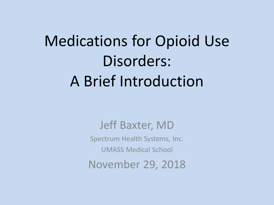# Medications for Opioid Use Disorders: A Brief Introduction

Jeff Baxter, MD

Spectrum Health Systems, Inc.

UMASS Medical School

November 29, 2018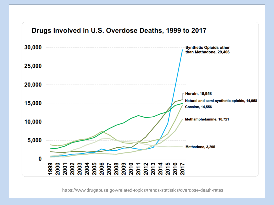#### Drugs Involved in U.S. Overdose Deaths, 1999 to 2017



https://www.drugabuse.gov/related-topics/trends-statistics/overdose-death-rates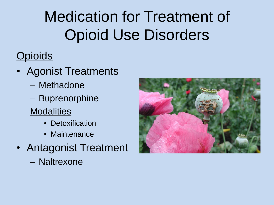## Medication for Treatment of Opioid Use Disorders

### **Opioids**

- Agonist Treatments
	- Methadone
	- Buprenorphine
	- **Modalities** 
		- Detoxification
		- Maintenance
- Antagonist Treatment
	- Naltrexone

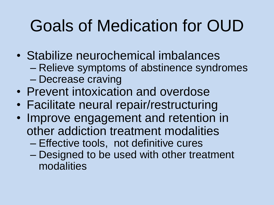# Goals of Medication for OUD

- Stabilize neurochemical imbalances – Relieve symptoms of abstinence syndromes – Decrease craving
- Prevent intoxication and overdose
- Facilitate neural repair/restructuring
- Improve engagement and retention in other addiction treatment modalities
	- Effective tools, not definitive cures
	- Designed to be used with other treatment modalities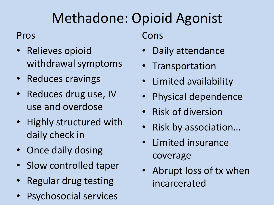### Methadone: Opioid Agonist

#### Pros

- Relieves opioid withdrawal symptoms
- Reduces cravings
- Reduces drug use, IV use and overdose
- Highly structured with daily check in
- Once daily dosing
- Slow controlled taper
- Regular drug testing
- Psychosocial services

Cons

- Daily attendance
- **Transportation**
- Limited availability
- Physical dependence
- Risk of diversion
- Risk by association…
- Limited insurance coverage
- Abrupt loss of tx when incarcerated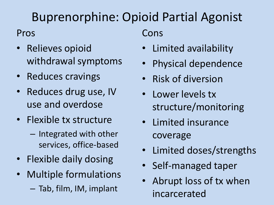### Buprenorphine: Opioid Partial Agonist

#### Pros

- Relieves opioid withdrawal symptoms
- Reduces cravings
- Reduces drug use, IV use and overdose
- Flexible tx structure
	- Integrated with other services, office-based
- Flexible daily dosing
- Multiple formulations – Tab, film, IM, implant

Cons

- Limited availability
- Physical dependence
- Risk of diversion
- Lower levels tx structure/monitoring
- Limited insurance coverage
- Limited doses/strengths
- Self-managed taper
- Abrupt loss of tx when incarcerated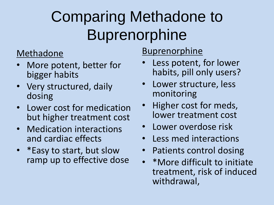## Comparing Methadone to **Buprenorphine**

#### Methadone

- More potent, better for bigger habits
- Very structured, daily dosing
- Lower cost for medication but higher treatment cost
- Medication interactions and cardiac effects
- \*Easy to start, but slow ramp up to effective dose

### **Buprenorphine**

- Less potent, for lower habits, pill only users?
- Lower structure, less monitoring
- Higher cost for meds, lower treatment cost
- Lower overdose risk
- Less med interactions
- Patients control dosing
- \*More difficult to initiate treatment, risk of induced withdrawal,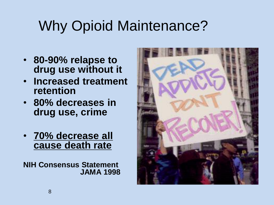## Why Opioid Maintenance?

- **80-90% relapse to drug use without it**
- **Increased treatment retention**
- **80% decreases in drug use, crime**
- **70% decrease all cause death rate**

**NIH Consensus Statement JAMA 1998**

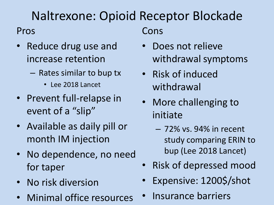### Naltrexone: Opioid Receptor Blockade

#### Pros

- Reduce drug use and increase retention
	- Rates similar to bup tx
		- Lee 2018 Lancet
- Prevent full-relapse in event of a "slip"
- Available as daily pill or month IM injection
- No dependence, no need for taper
- No risk diversion
- Minimal office resources

Cons

- Does not relieve withdrawal symptoms
- Risk of induced withdrawal
- More challenging to initiate
	- 72% vs. 94% in recent study comparing ERIN to bup (Lee 2018 Lancet)
- Risk of depressed mood
- Expensive: 1200\$/shot
- Insurance barriers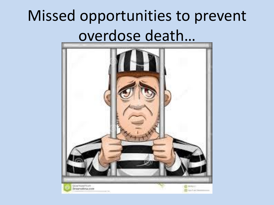## Missed opportunities to prevent overdose death…

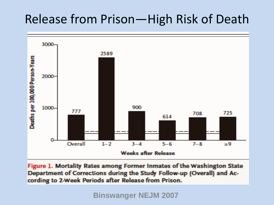### Release from Prison—High Risk of Death



Figure 1. Mortality Rates among Former Inmates of the Washington State Department of Corrections during the Study Follow-up (Overall) and According to 2-Week Periods after Release from Prison.

**Binswanger NEJM 2007**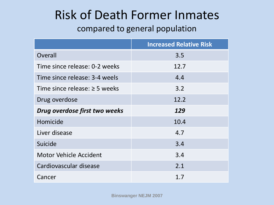### Risk of Death Former Inmates

#### compared to general population

|                                    | <b>Increased Relative Risk</b> |
|------------------------------------|--------------------------------|
| Overall                            | 3.5                            |
| Time since release: 0-2 weeks      | 12.7                           |
| Time since release: 3-4 weels      | 4.4                            |
| Time since release: $\geq$ 5 weeks | 3.2                            |
| Drug overdose                      | 12.2                           |
| Drug overdose first two weeks      | 129                            |
| Homicide                           | 10.4                           |
| Liver disease                      | 4.7                            |
| Suicide                            | 3.4                            |
| <b>Motor Vehicle Accident</b>      | 3.4                            |
| Cardiovascular disease             | 2.1                            |
| Cancer                             | 1.7                            |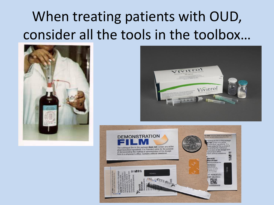## When treating patients with OUD, consider all the tools in the toolbox…